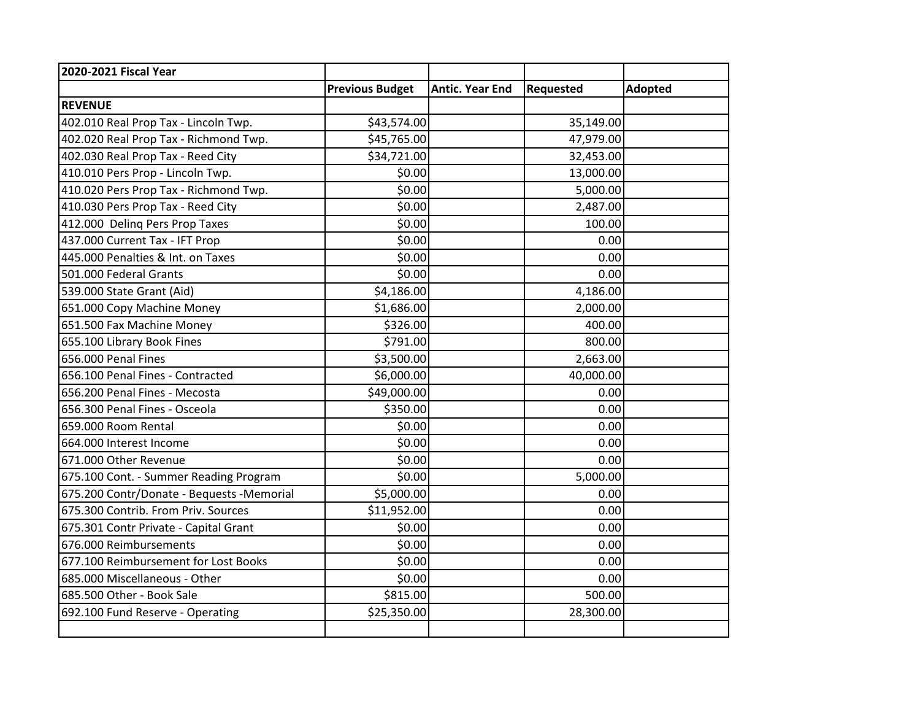| 2020-2021 Fiscal Year                     |                        |                        |                  |                |
|-------------------------------------------|------------------------|------------------------|------------------|----------------|
|                                           | <b>Previous Budget</b> | <b>Antic. Year End</b> | <b>Requested</b> | <b>Adopted</b> |
| <b>REVENUE</b>                            |                        |                        |                  |                |
| 402.010 Real Prop Tax - Lincoln Twp.      | \$43,574.00            |                        | 35,149.00        |                |
| 402.020 Real Prop Tax - Richmond Twp.     | \$45,765.00            |                        | 47,979.00        |                |
| 402.030 Real Prop Tax - Reed City         | \$34,721.00            |                        | 32,453.00        |                |
| 410.010 Pers Prop - Lincoln Twp.          | \$0.00                 |                        | 13,000.00        |                |
| 410.020 Pers Prop Tax - Richmond Twp.     | \$0.00                 |                        | 5,000.00         |                |
| 410.030 Pers Prop Tax - Reed City         | \$0.00                 |                        | 2,487.00         |                |
| 412.000 Deling Pers Prop Taxes            | \$0.00                 |                        | 100.00           |                |
| 437.000 Current Tax - IFT Prop            | \$0.00                 |                        | 0.00             |                |
| 445.000 Penalties & Int. on Taxes         | \$0.00                 |                        | 0.00             |                |
| 501.000 Federal Grants                    | \$0.00                 |                        | 0.00             |                |
| 539.000 State Grant (Aid)                 | \$4,186.00             |                        | 4,186.00         |                |
| 651.000 Copy Machine Money                | \$1,686.00             |                        | 2,000.00         |                |
| 651.500 Fax Machine Money                 | \$326.00               |                        | 400.00           |                |
| 655.100 Library Book Fines                | \$791.00               |                        | 800.00           |                |
| 656.000 Penal Fines                       | \$3,500.00             |                        | 2,663.00         |                |
| 656.100 Penal Fines - Contracted          | \$6,000.00             |                        | 40,000.00        |                |
| 656.200 Penal Fines - Mecosta             | \$49,000.00            |                        | 0.00             |                |
| 656.300 Penal Fines - Osceola             | \$350.00               |                        | 0.00             |                |
| 659.000 Room Rental                       | \$0.00                 |                        | 0.00             |                |
| 664.000 Interest Income                   | \$0.00                 |                        | 0.00             |                |
| 671.000 Other Revenue                     | \$0.00                 |                        | 0.00             |                |
| 675.100 Cont. - Summer Reading Program    | \$0.00                 |                        | 5,000.00         |                |
| 675.200 Contr/Donate - Bequests -Memorial | \$5,000.00             |                        | 0.00             |                |
| 675.300 Contrib. From Priv. Sources       | \$11,952.00            |                        | 0.00             |                |
| 675.301 Contr Private - Capital Grant     | \$0.00                 |                        | 0.00             |                |
| 676.000 Reimbursements                    | \$0.00                 |                        | 0.00             |                |
| 677.100 Reimbursement for Lost Books      | \$0.00                 |                        | 0.00             |                |
| 685.000 Miscellaneous - Other             | \$0.00                 |                        | 0.00             |                |
| 685.500 Other - Book Sale                 | \$815.00               |                        | 500.00           |                |
| 692.100 Fund Reserve - Operating          | \$25,350.00            |                        | 28,300.00        |                |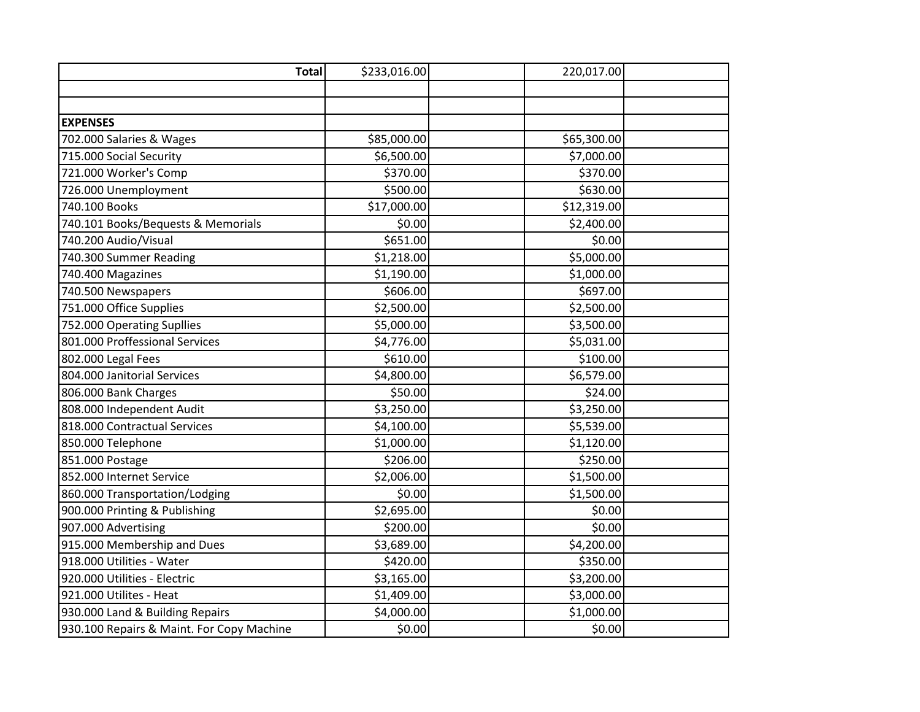| <b>Total</b>                              | \$233,016.00 | 220,017.00  |  |
|-------------------------------------------|--------------|-------------|--|
|                                           |              |             |  |
|                                           |              |             |  |
| <b>EXPENSES</b>                           |              |             |  |
| 702.000 Salaries & Wages                  | \$85,000.00  | \$65,300.00 |  |
| 715.000 Social Security                   | \$6,500.00   | \$7,000.00  |  |
| 721.000 Worker's Comp                     | \$370.00     | \$370.00    |  |
| 726.000 Unemployment                      | \$500.00     | \$630.00    |  |
| 740.100 Books                             | \$17,000.00  | \$12,319.00 |  |
| 740.101 Books/Bequests & Memorials        | \$0.00       | \$2,400.00  |  |
| 740.200 Audio/Visual                      | \$651.00     | \$0.00      |  |
| 740.300 Summer Reading                    | \$1,218.00   | \$5,000.00  |  |
| 740.400 Magazines                         | \$1,190.00   | \$1,000.00  |  |
| 740.500 Newspapers                        | \$606.00     | \$697.00    |  |
| 751.000 Office Supplies                   | \$2,500.00   | \$2,500.00  |  |
| 752.000 Operating Supllies                | \$5,000.00   | \$3,500.00  |  |
| 801.000 Proffessional Services            | \$4,776.00   | \$5,031.00  |  |
| 802.000 Legal Fees                        | \$610.00     | \$100.00    |  |
| 804.000 Janitorial Services               | \$4,800.00   | \$6,579.00  |  |
| 806.000 Bank Charges                      | \$50.00      | \$24.00     |  |
| 808.000 Independent Audit                 | \$3,250.00   | \$3,250.00  |  |
| 818.000 Contractual Services              | \$4,100.00   | \$5,539.00  |  |
| 850.000 Telephone                         | \$1,000.00   | \$1,120.00  |  |
| 851.000 Postage                           | \$206.00     | \$250.00    |  |
| 852.000 Internet Service                  | \$2,006.00   | \$1,500.00  |  |
| 860.000 Transportation/Lodging            | \$0.00       | \$1,500.00  |  |
| 900.000 Printing & Publishing             | \$2,695.00   | \$0.00      |  |
| 907.000 Advertising                       | \$200.00     | \$0.00      |  |
| 915.000 Membership and Dues               | \$3,689.00   | \$4,200.00  |  |
| 918.000 Utilities - Water                 | \$420.00     | \$350.00    |  |
| 920.000 Utilities - Electric              | \$3,165.00   | \$3,200.00  |  |
| 921.000 Utilites - Heat                   | \$1,409.00   | \$3,000.00  |  |
| 930.000 Land & Building Repairs           | \$4,000.00   | \$1,000.00  |  |
| 930.100 Repairs & Maint. For Copy Machine | \$0.00       | \$0.00      |  |